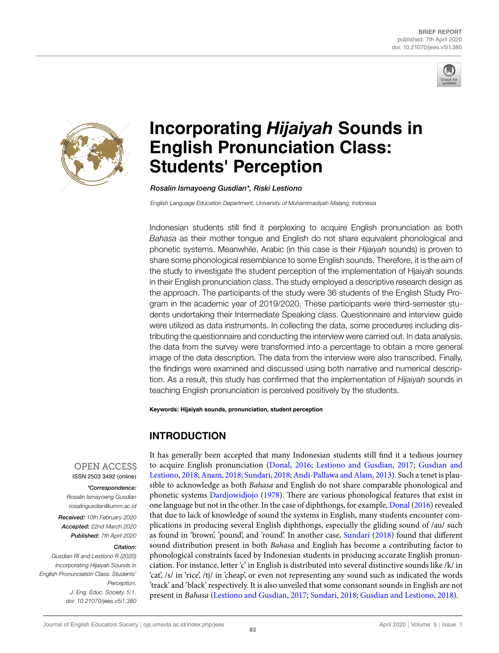



# **Incorporating** *Hijaiyah* **Sounds in English Pronunciation Class: Students' Perception**

*Rosalin Ismayoeng Gusdian\*, Riski Lestiono*

*English Language Education Department, University of Muhammadiyah Malang, Indonesia*

Indonesian students still find it perplexing to acquire English pronunciation as both *Bahasa* as their mother tongue and English do not share equivalent phonological and phonetic systems. Meanwhile, Arabic (in this case is their *Hijaiyah* sounds) is proven to share some phonological resemblance to some English sounds. Therefore, it is the aim of the study to investigate the student perception of the implementation of Hjaiyah sounds in their English pronunciation class. The study employed a descriptive research design as the approach. The participants of the study were 36 students of the English Study Program in the academic year of 2019/2020. These participants were third-semester students undertaking their Intermediate Speaking class. Questionnaire and interview guide were utilized as data instruments. In collecting the data, some procedures including distributing the questionnaire and conducting the interview were carried out. In data analysis, the data from the survey were transformed into a percentage to obtain a more general image of the data description. The data from the interview were also transcribed. Finally, the findings were examined and discussed using both narrative and numerical description. As a result, this study has confirmed that the implementation of *Hijaiyah* sounds in teaching English pronunciation is perceived positively by the students.

**Keywords: Hijaiyah sounds, pronunciation, student perception**

# **INTRODUCTION**

**OPEN ACCESS** ISSN 2503 3492 (online)

*\*Correspondence: Rosalin Ismayoeng Gusdian rosalingusdian@umm.ac.id*

*Received: 10th February 2020 Accepted: 22nd March 2020 Published: 7th April 2020*

#### *Citation:*

*Gusdian RI and Lestiono R (2020) Incorporating Hijaiyah Sounds in English Pronunciation Class: Students' Perception. J. Eng. Educ. Society. 5:1. doi: 10.21070/jees.v5i1.380*

It has generally been accepted that [many Indon](#page-5-0)[esian students still find](#page-5-1) i[t a te](#page-5-1)[dious journey](#page-5-2) [to acquire Eng](#page-5-2)[lish pronunc](#page-5-3)[iation \(Donal](#page-5-4), 2016; [Lestiono and Gusdian](#page-5-5), 2017; Gusdian and Lestiono, 2018;Anam, 2018; Sundari, 2018;Andi-Pallawa and Alam, 2013). Such a tenet is plausible to acknowle[dge as both](#page-5-6) *Bah[asa](#page-5-6)* and English do not share comparable phonological and phonetic systems Dardjowidjojo (1978). There are various phonologica[l featu](#page-5-0)r[es tha](#page-5-0)t exist in one language but not in the other. In the case of diphthongs, for example, Donal (2016) revealed that due to lack of knowledge of sound the systems in English, many students encounter complications in producing several English diphthongs, espe[cially the glidin](#page-5-4)g sound of /au/ such as found in 'brown', 'pound', and 'round'. In another case, Sundari (2018) found that different sound distribution present in both *Bahasa* and English has become a contributing factor to phonological constraints faced by Indonesian students in producing accurate English pronunciation. For instance, letter 'c' in English is distributed into several distinctive sounds like /k/ in 'cat', /s/ in 'rice', /tj/ in 'cheap', or even not representing any sound such as indicated the words 'track' and 'black' r[espectively. It is also unveiled](#page-5-1) [that some cons](#page-5-4)[onant sounds in English are n](#page-5-2)ot present in *Bahasa* (Lestiono and Gusdian, 2017; Sundari, 2018; Gusdian and Lestiono, 2018).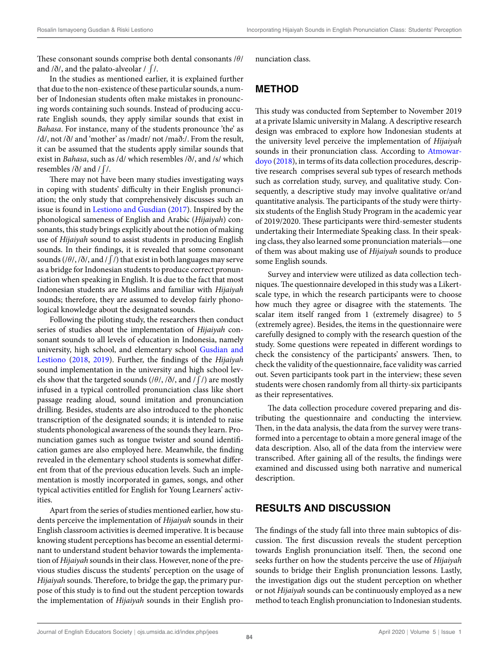These consonant sounds comprise both dental consonants /*θ*/ and /ð/, and the palato-alveolar /  $\int$ /.

In the studies as mentioned earlier, it is explained further that due to the non-existence of these particular sounds, a number of Indonesian students often make mistakes in pronouncing words containing such sounds. Instead of producing accurate English sounds, they apply similar sounds that exist in *Bahasa*. For instance, many of the students pronounce 'the' as /d/, not /ð/ and 'mother' as /madr/ not /mað:/. From the result, it can be assumed that the students apply similar sounds that exist in *Bahasa*, such as /d/ which resembles /ð/, and /s/ which resembles /ð/ and /∫ /.

There may not have been many studies investigating ways in coping with students' difficulty in their English pronunciation; the onlys[tudy that comprehens](#page-5-1)i[vely d](#page-5-1)iscusses such an issue is found in Lestiono and Gusdian (2017). Inspired by the phonological sameness of English and Arabic (*Hijaiyah*) consonants, this study brings explicitly about the notion of making use of *Hijaiyah* sound to assist students in producing English sounds. In their findings, it is revealed that some consonant sounds (/θ/, /ð/, and / ∫ /) that exist in both languages may serve as a bridge for Indonesian students to produce correct pronunciation when speaking in English. It is due to the fact that most Indonesian students are Muslims and familiar with *Hijaiyah* sounds; therefore, they are assumed to develop fairly phonological knowledge about the designated sounds.

Following the piloting study, the researchers then conduct series of studies about the implementation of *Hijaiyah* consonant sounds to all levels of education in Indo[nesia, namely](#page-5-2) [universit](#page-5-2)y, [high](#page-5-2) [schoo](#page-5-7)l, and elementary school Gusdian and Lestiono (2018, 2019). Further, the findings of the *Hijaiyah* sound implementation in the university and high school levels show that the targeted sounds (/*θ*/, /ð/, and /∫ /) are mostly infused in a typical controlled pronunciation class like short passage reading aloud, sound imitation and pronunciation drilling. Besides, students are also introduced to the phonetic transcription of the designated sounds; it is intended to raise students phonological awareness of the sounds they learn. Pronunciation games such as tongue twister and sound identification games are also employed here. Meanwhile, the finding revealed in the elementary school students is somewhat different from that of the previous education levels. Such an implementation is mostly incorporated in games, songs, and other typical activities entitled for English for Young Learners' activities.

Apart from the series of studies mentioned earlier, how students perceive the implementation of *Hijaiyah* sounds in their English classroom activities is deemed imperative. It is because knowing student perceptions has become an essential determinant to understand student behavior towards the implementation of *Hijaiyah* sounds in their class. However, none of the previous studies discuss the students' perception on the usage of *Hijaiyah* sounds. Therefore, to bridge the gap, the primary purpose of this study is to find out the student perception towards the implementation of *Hijaiyah* sounds in their English pronunciation class.

# **METHOD**

This study was conducted from September to November 2019 at a private Islamic university in Malang. A descriptive research design was embraced to explore how Indonesian students at the university level perceive the implementation of *[Hijaiyah](#page-5-8)* [sounds in t](#page-5-8)heir pronunciation class. According to Atmowardoyo (2018), in terms of its data collection procedures, descriptive research comprises several sub types of research methods such as correlation study, survey, and qualitative study. Consequently, a descriptive study may involve qualitative or/and quantitative analysis. The participants of the study were thirtysix students of the English Study Program in the academic year of 2019/2020. These participants were third-semester students undertaking their Intermediate Speaking class. In their speaking class, they also learned some pronunciation materials—one of them was about making use of *Hijaiyah* sounds to produce some English sounds.

Survey and interview were utilized as data collection techniques. The questionnaire developed in this study was a Likertscale type, in which the research participants were to choose how much they agree or disagree with the statements. The scalar item itself ranged from 1 (extremely disagree) to 5 (extremely agree). Besides, the items in the questionnaire were carefully designed to comply with the research question of the study. Some questions were repeated in different wordings to check the consistency of the participants' answers. Then, to check the validity of the questionnaire, face validity was carried out. Seven participants took part in the interview; these seven students were chosen randomly from all thirty-six participants as their representatives.

The data collection procedure covered preparing and distributing the questionnaire and conducting the interview. Then, in the data analysis, the data from the survey were transformed into a percentage to obtain a more general image of the data description. Also, all of the data from the interview were transcribed. After gaining all of the results, the findings were examined and discussed using both narrative and numerical description.

## **RESULTS AND DISCUSSION**

The findings of the study fall into three main subtopics of discussion. The first discussion reveals the student perception towards English pronunciation itself. Then, the second one seeks further on how the students perceive the use of *Hijaiyah* sounds to bridge their English pronunciation lessons. Lastly, the investigation digs out the student perception on whether or not *Hijaiyah* sounds can be continuously employed as a new method to teach English pronunciation to Indonesian students.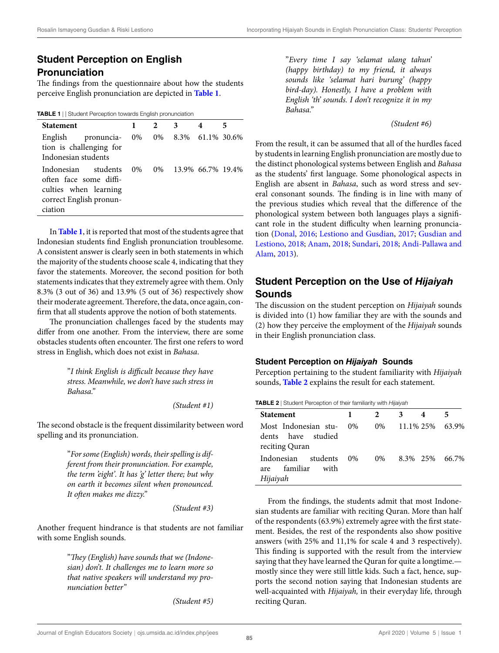# **Student Perception on English Pronunciation**

The findings from the questionnaire about ho[w the](#page-2-0) [st](#page-2-1)udents perceive English pronunciation are depicted in **Table 1**.

<span id="page-2-1"></span><span id="page-2-0"></span>**TABLE 1** *|* | Student Perception towards English pronunciation

| <b>Statement</b>                                                                                             |       | $2^{\circ}$ | 3 <sup>1</sup>           | 4 | 5 |
|--------------------------------------------------------------------------------------------------------------|-------|-------------|--------------------------|---|---|
| English pronuncia-<br>tion is challenging for<br>Indonesian students                                         |       |             | 0% 0% 8.3% 61.1% 30.6%   |   |   |
| Indonesian students<br>often face some diffi-<br>culties when learning<br>correct English pronun-<br>ciation | $0\%$ |             | 0\% 13.9\% 66.7\% 19.4\% |   |   |

In **Table 1**, it is reported that most of the students agree that Indonesian students find English pronunciation troublesome. A consistent answer is clearly seen in both statements in which the majority of the students choose scale 4, indicating that they favor the statements. Moreover, the second position for both statements indicates that they extremely agree with them. Only 8.3% (3 out of 36) and 13.9% (5 out of 36) respectively show their moderate agreement. Therefore, the data, once again, confirm that all students approve the notion of both statements.

The pronunciation challenges faced by the students may differ from one another. From the interview, there are some obstacles students often encounter. The first one refers to word stress in English, which does not exist in *Bahasa*.

> "*I think English is difficult because they have stress. Meanwhile, we don't have such stress in Bahasa."*

> > *(Student #1)*

The second obstacle is the frequent dissimilarity between word spelling and its pronunciation.

> "*For some (English) words, their spelling is different from their pronunciation. For example, the term 'eight'. It has 'g' letter there; but why on earth it becomes silent when pronounced. It often makes me dizzy."*

> > *(Student #3)*

Another frequent hindrance is that students are not familiar with some English sounds.

> "*They (English) have sounds that we (Indonesian) don't. It challenges me to learn more so that native speakers will understand my pronunciation better"*

> > *(Student #5)*

"*Every time I say 'selamat ulang tahun' (happy birthday) to my friend, it always sounds like 'selamat hari burung' (happy bird-day). Honestly, I have a problem with English 'th' sounds. I don't recognize it in my Bahasa."*

*(Student #6)*

From the result, it can be assumed that all of the hurdles faced by students in learning English pronunciation are mostly due to the distinct phonological systems between English and *Bahasa* as the students' first language. Some phonological aspects in English are absent in *Bahasa*, such as word stress and several consonant sounds. The finding is in line with many of the previous studies which reveal that the difference of the phonological system between both languages plays a significant [role in the st](#page-5-0)[udent difficulty when](#page-5-1) l[earnin](#page-5-1)[g pronuncia](#page-5-2)[tion \(Donal,](#page-5-2) 2016; [Lestiono](#page-5-3) [and Gusdian,](#page-5-4) 2017; [Gusdian and](#page-5-5) [Lestiono,](#page-5-5) 2018; Anam, 2018; Sundari, 2018; Andi-Pallawa and Alam, 2013).

# **Student Perception on the Use of** *Hijaiyah* **Sounds**

The discussion on the student perception on *Hijaiyah* sounds is divided into (1) how familiar they are with the sounds and (2) how they perceive the employment of the *Hijaiyah* sounds in their English pronunciation class.

#### **Student Perception on** *Hijaiyah* **Sounds**

Percepti[on pe](#page-2-2)[rta](#page-2-3)ining to the student familiarity with *Hijaiyah* sounds, **Table 2** explains the result for each statement.

<span id="page-2-3"></span><span id="page-2-2"></span>**TABLE 2** *|* Student Perception of their familiarity with *Hijaiyah*

| <b>Statement</b>                                             | $\mathbf{1}$ | $\mathbf{2}$ | $\overline{\mathbf{3}}$ | 4 | 5 |
|--------------------------------------------------------------|--------------|--------------|-------------------------|---|---|
| Most Indonesian stu-<br>dents have studied<br>reciting Quran | $0\%$        |              | 0\% 11.1\% 25\% 63.9\%  |   |   |
| Indonesian students<br>are familiar<br>with<br>Hijaiyah      | $0\%$        |              | 0\% 8.3\% 25\% 66.7\%   |   |   |

From the findings, the students admit that most Indonesian students are familiar with reciting Quran. More than half of the respondents (63.9%) extremely agree with the first statement. Besides, the rest of the respondents also show positive answers (with 25% and 11,1% for scale 4 and 3 respectively). This finding is supported with the result from the interview saying that they have learned the Quran for quite a longtime. mostly since they were still little kids. Such a fact, hence, supports the second notion saying that Indonesian students are well-acquainted with *Hijaiyah,* in their everyday life, through reciting Quran.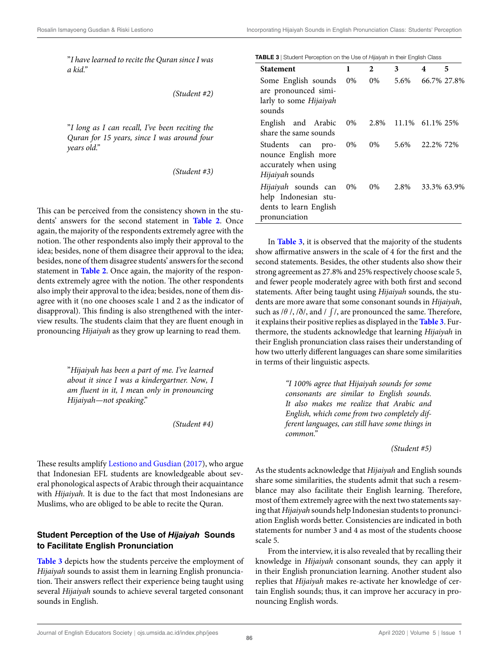"*I have learned to recite the Quran since I was a kid."*

*(Student #2)*

"*I long as I can recall, I've been reciting the Quran for 15 years, since I was around four years old."*

*(Student #3)*

This can be perceived from the consistency sh[own in](#page-2-2) [t](#page-2-3)he students' answers for the second statement in **Table 2**. Once again, the majority of the respondents extremely agree with the notion. The other respondents also imply their approval to the idea; besides, none of them disagree their approval to the idea; besides, non[e of the](#page-2-2)[m](#page-2-3) disagree students' answers for the second statement in **Table 2**. Once again, the majority of the respondents extremely agree with the notion. The other respondents also imply their approval to the idea; besides, none of them disagree with it (no one chooses scale 1 and 2 as the indicator of disapproval). This finding is also strengthened with the interview results. The students claim that they are fluent enough in pronouncing *Hijaiyah* as they grow up learning to read them.

> "*Hijaiyah has been a part of me. I've learned about it since I was a kindergartner. No*w*, I am fluent in it, I me*an *only in pronouncing Hijaiyah—not speaking*."

> > *(Student #4)*

These results amplify Lestiono and Gusdian (2017), who argue that Indonesian EFL students are knowledgeable about several phonological aspects of Arabic through their acquaintance with *Hijaiyah*. It is due to the fact that most Indonesians are Muslims, who are obliged to be able to recite the Quran.

### **Student Perception of the Use of** *Hijaiyah* **Sounds [to Fa](#page-3-0)[ci](#page-3-1)litate English Pronunciation**

**Table 3** depicts how the students perceive the employment of *Hijaiyah* sounds to assist them in learning English pronunciation. Their answers reflect their experience being taught using several *Hijaiyah* sounds to achieve several targeted consonant sounds in English.

<span id="page-3-1"></span><span id="page-3-0"></span>

| <b>Statement</b>                                                                        | 1     | 2     | 3                    | 4         | 5           |
|-----------------------------------------------------------------------------------------|-------|-------|----------------------|-----------|-------------|
| Some English sounds<br>are pronounced simi-<br>larly to some Hijaiyah<br>sounds         | $0\%$ | 0%    | 5.6%                 |           | 66.7% 27.8% |
| English and Arabic<br>share the same sounds                                             | $0\%$ |       | 2.8% 11.1% 61.1% 25% |           |             |
| Students can<br>pro-<br>nounce English more<br>accurately when using<br>Hijaiyah sounds | 0%    | $0\%$ | 5.6%                 | 22.2% 72% |             |
| Hijaiyah sounds can<br>help Indonesian stu-<br>dents to learn English<br>pronunciation  | 0%    | 0%    | 2.8%                 |           | 33.3% 63.9% |

In **Table 3**, it is observed that the majority of the students show affirmative answers in the scale of 4 for the first and the second statements. Besides, the other students also show their strong agreement as 27.8% and 25% respectively choose scale 5, and fewer people moderately agree with both first and second statements. After being taught using *Hijaiyah* sounds, the students are more aware that some consonant sounds in *Hijaiyah*, such as /θ /, /ð/, and / ∫/, are pronounced the sa[me. The](#page-3-0)[re](#page-3-1)fore, it explains their positive replies as displayed in the **Table 3**. Furthermore, the students acknowledge that learning *Hijaiyah* in their English pronunciation class raises their understanding of how two utterly different languages can share some similarities in terms of their linguistic aspects.

> *"I 100% agree that Hijaiyah sounds for some consonants are similar to English sounds. It also makes me realize that Arabic and English, which come from two completely different languages, can still have some things in common."*

> > *(Student #5)*

As the students acknowledge that *Hijaiyah* and English sounds share some similarities, the students admit that such a resemblance may also facilitate their English learning. Therefore, most of them extremely agree with the next two statements saying that *Hijaiyah* sounds help Indonesian students to pronunciation English words better. Consistencies are indicated in both statements for number 3 and 4 as most of the students choose scale 5.

From the interview, it is also revealed that by recalling their knowledge in *Hijaiyah* consonant sounds, they can apply it in their English pronunciation learning. Another student also replies that *Hijaiyah* makes re-activate her knowledge of certain English sounds; thus, it can improve her accuracy in pronouncing English words.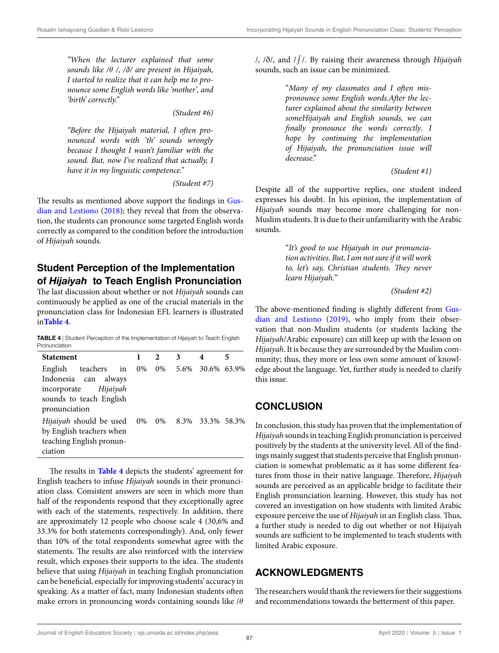*"When the lecturer explained that some sounds like /θ /, /ð/ are present in Hijaiyah, I started to realize that it can help me to pronounce some English words like 'mother', and 'birth' correctly."*

*(Student #6)*

*"Before the Hijaiyah material, I often pronounced words with 'th' sounds wrongly because I thought I wasn't familiar with the sound. But, now I've realized that actually, I have it in my linguistic competence."*

*(Student #7)*

[The results as men](#page-5-2)t[ioned](#page-5-2) above support the findings in Gusdian and Lestiono (2018); they reveal that from the observation, the students can pronounce some targeted English words correctly as compared to the condition before the introduction of *Hijaiyah* sounds.

# **Student Perception of the Implementation of** *Hijaiyah* **to Teach English Pronunciation**

The last discussion about whether or not *Hijaiyah* sounds can continuously be applied as one of the crucial materials in the p[ronunc](#page-4-0)[ia](#page-4-1)tion class for Indonesian EFL learners is illustrated in**Table 4**.

<span id="page-4-1"></span><span id="page-4-0"></span>**TABLE 4** *|* Student Perception of the Implementation of *Hijaiyah* to Teach English Pronunciation

| <b>Statement</b>                                                                                            |    | 2 | 3 |                         | 5 |
|-------------------------------------------------------------------------------------------------------------|----|---|---|-------------------------|---|
| English teachers in<br>Indonesia can always<br>incorporate Hijaiyah<br>sounds to teach English              | 0% |   |   | 0\% 5.6\% 30.6\% 63.9\% |   |
| pronunciation<br>Hijaiyah should be used<br>by English teachers when<br>teaching English pronun-<br>ciation | 0% |   |   | 0\% 8.3\% 33.3\% 58.3\% |   |

The results in **Table 4** depicts the students' agreement for English teachers to infuse *Hijaiyah* sounds in their pronunciation class. Consistent answers are seen in which more than half of the respondents respond that they exceptionally agree with each of the statements, respectively. In addition, there are approximately 12 people who choose scale 4 (30,6% and 33.3% for both statements correspondingly). And, only fewer than 10% of the total respondents somewhat agree with the statements. The results are also reinforced with the interview result, which exposes their supports to the idea. The students believe that using *Hijaiyah* in teaching English pronunciation can be beneficial, especially for improving students' accuracy in speaking. As a matter of fact, many Indonesian students often make errors in pronouncing words containing sounds like /*θ*

/, /ð/, and /∫ /. By raising their awareness through *Hijaiyah* sounds, such an issue can be minimized.

> "*Many of my classmates and I often mispronounce some English words.After the lecturer explained about the similarity between someHijaiyah and English sounds, we can finally pronounce the words correctly*. *I hope by continuing the implementation of Hijaiyah, the pronunciation issue will decrease*."

> > *(Student #1)*

Despite all of the supportive replies, one student indeed expresses his doubt. In his opinion, the implementation of *Hijaiyah* sounds may become more challenging for non-Muslim students. It is due to their unfamiliarity with the Arabic sounds.

> "*It's good to use Hijaiyah in our pronunciation activities. But, I am not sure if it will work to, let's say, Christian students. They never learn Hijaiyah.*"

> > *(Student #2)*

[The above-mentioned find](#page-5-7)ing is slightly different from Gusdian and Lestiono (2019), who imply from their observation that non-Muslim students (or students lacking the *Hijaiyah*/Arabic exposure) can still keep up with the lesson on *Hijaiyah*. It is because they are surrounded by the Muslim community; thus, they more or less own some amount of knowledge about the language. Yet, further study is needed to clarify this issue.

## **CONCLUSION**

In conclusion, this study has proven that the implementation of *Hijaiyah* sounds in teaching English pronunciation is perceived positively by the students at the university level. All of the findings mainly suggest that students perceive that English pronunciation is somewhat problematic as it has some different features from those in their native language. Therefore, *Hijaiyah* sounds are perceived as an applicable bridge to facilitate their English pronunciation learning. However, this study has not covered an investigation on how students with limited Arabic exposure perceive the use of *Hijaiyah* in an English class. Thus, a further study is needed to dig out whether or not Hijaiyah sounds are sufficient to be implemented to teach students with limited Arabic exposure.

## **ACKNOWLEDGMENTS**

The researchers would thank the reviewers for their suggestions and recommendations towards the betterment of this paper.